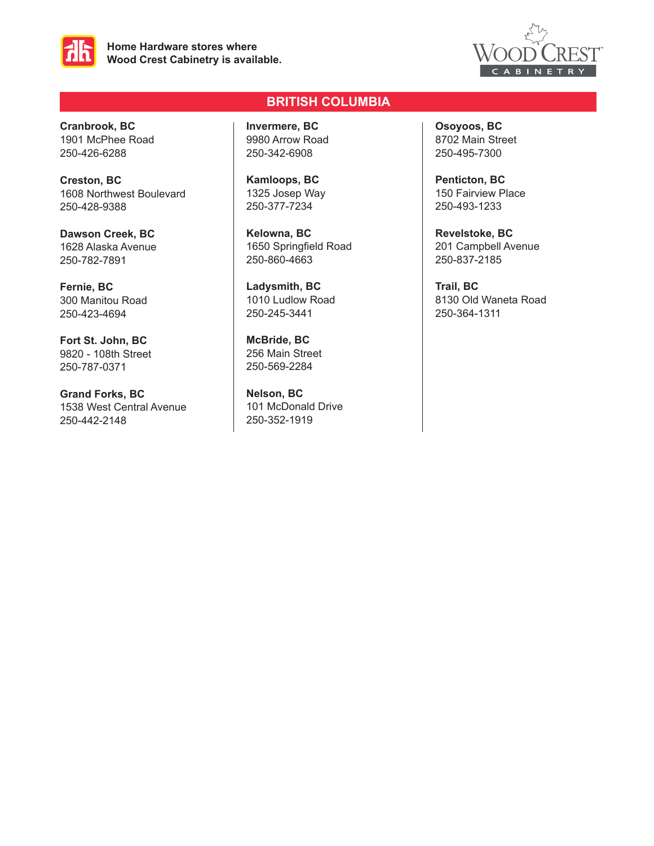



**Cranbrook, BC** 1901 McPhee Road 250-426-6288

**Creston, BC** 1608 Northwest Boulevard 250-428-9388

**Dawson Creek, BC** 1628 Alaska Avenue 250-782-7891

**Fernie, BC** 300 Manitou Road 250-423-4694

**Fort St. John, BC** 9820 - 108th Street 250-787-0371

**Grand Forks, BC** 1538 West Central Avenue 250-442-2148

# **BRITISH COLUMBIA**

**Invermere, BC** 9980 Arrow Road 250-342-6908

**Kamloops, BC** 1325 Josep Way 250-377-7234

**Kelowna, BC** 1650 Springfield Road 250-860-4663

**Ladysmith, BC** 1010 Ludlow Road 250-245-3441

**McBride, BC** 256 Main Street 250-569-2284

**Nelson, BC** 101 McDonald Drive 250-352-1919

**Osoyoos, BC** 8702 Main Street 250-495-7300

**Penticton, BC** 150 Fairview Place 250-493-1233

**Revelstoke, BC** 201 Campbell Avenue 250-837-2185

**Trail, BC** 8130 Old Waneta Road 250-364-1311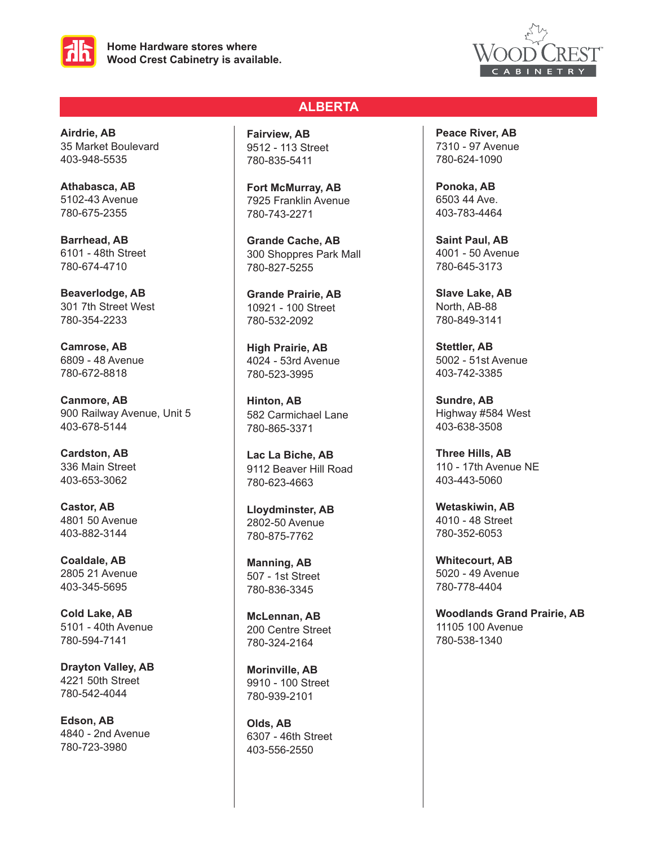



**Airdrie, AB** 35 Market Boulevard 403-948-5535

**Athabasca, AB** 5102-43 Avenue 780-675-2355

**Barrhead, AB** 6101 - 48th Street 780-674-4710

**Beaverlodge, AB** 301 7th Street West 780-354-2233

**Camrose, AB** 6809 - 48 Avenue 780-672-8818

**Canmore, AB** 900 Railway Avenue, Unit 5 403-678-5144

**Cardston, AB** 336 Main Street 403-653-3062

**Castor, AB** 4801 50 Avenue 403-882-3144

**Coaldale, AB** 2805 21 Avenue 403-345-5695

**Cold Lake, AB** 5101 - 40th Avenue 780-594-7141

**Drayton Valley, AB** 4221 50th Street 780-542-4044

**Edson, AB** 4840 - 2nd Avenue 780-723-3980

## **ALBERTA**

**Fairview, AB** 9512 - 113 Street 780-835-5411

**Fort McMurray, AB** 7925 Franklin Avenue 780-743-2271

**Grande Cache, AB** 300 Shoppres Park Mall 780-827-5255

**Grande Prairie, AB** 10921 - 100 Street 780-532-2092

**High Prairie, AB** 4024 - 53rd Avenue 780-523-3995

**Hinton, AB** 582 Carmichael Lane 780-865-3371

**Lac La Biche, AB** 9112 Beaver Hill Road 780-623-4663

**Lloydminster, AB** 2802-50 Avenue 780-875-7762

**Manning, AB** 507 - 1st Street 780-836-3345

**McLennan, AB** 200 Centre Street 780-324-2164

**Morinville, AB** 9910 - 100 Street 780-939-2101

**Olds, AB** 6307 - 46th Street 403-556-2550

**Peace River, AB** 7310 - 97 Avenue 780-624-1090

**Ponoka, AB** 6503 44 Ave. 403-783-4464

**Saint Paul, AB** 4001 - 50 Avenue 780-645-3173

**Slave Lake, AB** North, AB-88 780-849-3141

**Stettler, AB** 5002 - 51st Avenue 403-742-3385

**Sundre, AB** Highway #584 West 403-638-3508

**Three Hills, AB** 110 - 17th Avenue NE 403-443-5060

**Wetaskiwin, AB** 4010 - 48 Street 780-352-6053

**Whitecourt, AB** 5020 - 49 Avenue 780-778-4404

**Woodlands Grand Prairie, AB** 11105 100 Avenue 780-538-1340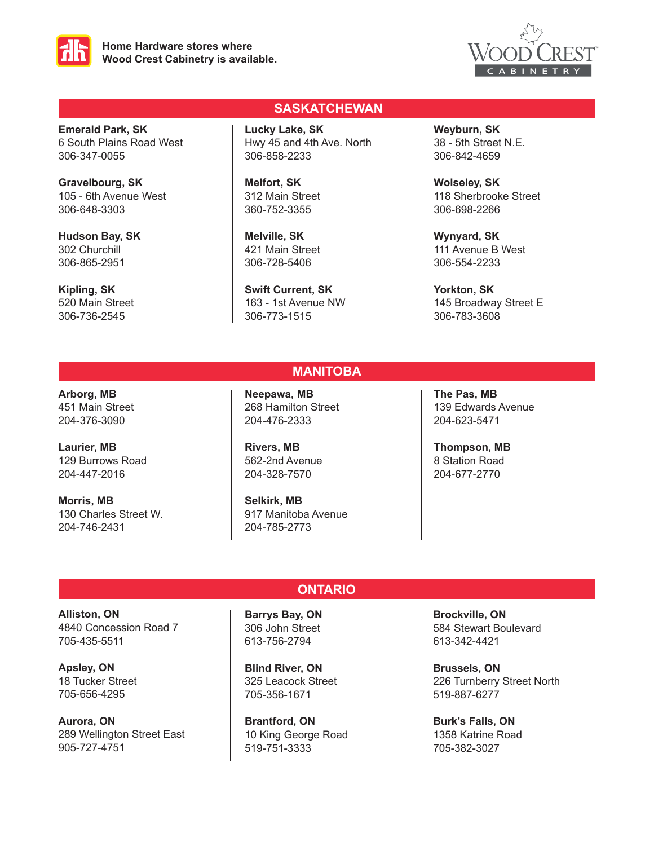



**Emerald Park, SK** 6 South Plains Road West 306-347-0055

**Gravelbourg, SK** 105 - 6th Avenue West 306-648-3303

**Hudson Bay, SK** 302 Churchill 306-865-2951

**Kipling, SK** 520 Main Street 306-736-2545

## **SASKATCHEWAN**

**Lucky Lake, SK** Hwy 45 and 4th Ave. North 306-858-2233

**Melfort, SK** 312 Main Street 360-752-3355

**Melville, SK** 421 Main Street 306-728-5406

**Swift Current, SK** 163 - 1st Avenue NW 306-773-1515

**Weyburn, SK** 38 - 5th Street N.E. 306-842-4659

**Wolseley, SK** 118 Sherbrooke Street 306-698-2266

**Wynyard, SK** 111 Avenue B West 306-554-2233

**Yorkton, SK** 145 Broadway Street E 306-783-3608

## **Arborg, MB** 451 Main Street 204-376-3090

**Laurier, MB** 129 Burrows Road 204-447-2016

**Morris, MB** 130 Charles Street W. 204-746-2431

**Neepawa, MB** 268 Hamilton Street 204-476-2333

**MANITOBA**

**ONTARIO**

**Rivers, MB** 562-2nd Avenue 204-328-7570

**Selkirk, MB** 917 Manitoba Avenue 204-785-2773

**The Pas, MB** 139 Edwards Avenue 204-623-5471

**Thompson, MB** 8 Station Road 204-677-2770

**Alliston, ON** 4840 Concession Road 7 705-435-5511

**Apsley, ON** 18 Tucker Street 705-656-4295

**Aurora, ON** 289 Wellington Street East 905-727-4751

**Barrys Bay, ON** 306 John Street 613-756-2794

**Blind River, ON** 325 Leacock Street 705-356-1671

**Brantford, ON** 10 King George Road 519-751-3333

**Brockville, ON** 584 Stewart Boulevard 613-342-4421

**Brussels, ON** 226 Turnberry Street North 519-887-6277

**Burk's Falls, ON** 1358 Katrine Road 705-382-3027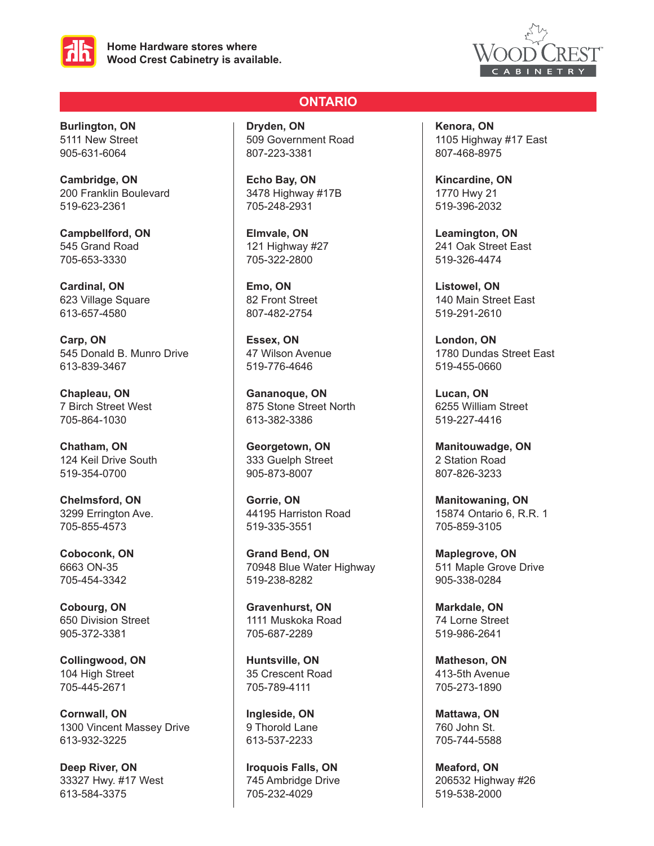



**Burlington, ON** 5111 New Street 905-631-6064

**Cambridge, ON** 200 Franklin Boulevard 519-623-2361

**Campbellford, ON** 545 Grand Road 705-653-3330

**Cardinal, ON** 623 Village Square 613-657-4580

**Carp, ON** 545 Donald B. Munro Drive 613-839-3467

**Chapleau, ON** 7 Birch Street West 705-864-1030

**Chatham, ON** 124 Keil Drive South 519-354-0700

**Chelmsford, ON** 3299 Errington Ave. 705-855-4573

**Coboconk, ON** 6663 ON-35 705-454-3342

**Cobourg, ON** 650 Division Street 905-372-3381

**Collingwood, ON** 104 High Street 705-445-2671

**Cornwall, ON** 1300 Vincent Massey Drive 613-932-3225

**Deep River, ON** 33327 Hwy. #17 West 613-584-3375

# **ONTARIO**

**Dryden, ON** 509 Government Road 807-223-3381

**Echo Bay, ON** 3478 Highway #17B 705-248-2931

**Elmvale, ON** 121 Highway #27 705-322-2800

**Emo, ON** 82 Front Street 807-482-2754

**Essex, ON** 47 Wilson Avenue 519-776-4646

**Gananoque, ON** 875 Stone Street North 613-382-3386

**Georgetown, ON** 333 Guelph Street 905-873-8007

**Gorrie, ON** 44195 Harriston Road 519-335-3551

**Grand Bend, ON** 70948 Blue Water Highway 519-238-8282

**Gravenhurst, ON** 1111 Muskoka Road 705-687-2289

**Huntsville, ON** 35 Crescent Road 705-789-4111

**Ingleside, ON** 9 Thorold Lane 613-537-2233

**Iroquois Falls, ON** 745 Ambridge Drive 705-232-4029

**Kenora, ON** 1105 Highway #17 East 807-468-8975

**Kincardine, ON** 1770 Hwy 21 519-396-2032

**Leamington, ON** 241 Oak Street East 519-326-4474

**Listowel, ON** 140 Main Street East 519-291-2610

**London, ON** 1780 Dundas Street East 519-455-0660

**Lucan, ON** 6255 William Street 519-227-4416

**Manitouwadge, ON** 2 Station Road 807-826-3233

**Manitowaning, ON** 15874 Ontario 6, R.R. 1 705-859-3105

**Maplegrove, ON** 511 Maple Grove Drive 905-338-0284

**Markdale, ON** 74 Lorne Street 519-986-2641

**Matheson, ON** 413-5th Avenue 705-273-1890

**Mattawa, ON** 760 John St. 705-744-5588

**Meaford, ON** 206532 Highway #26 519-538-2000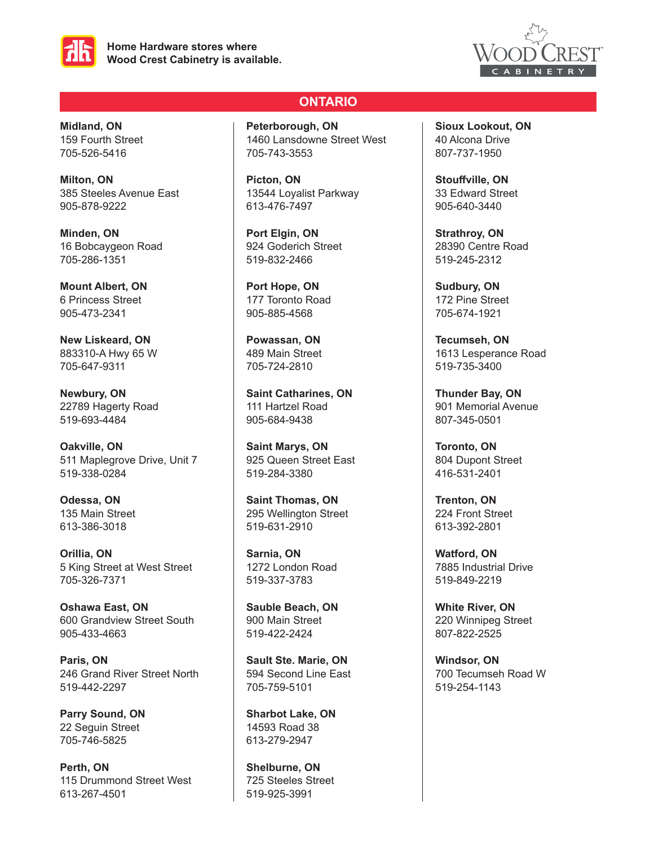



**Midland, ON** 159 Fourth Street 705-526-5416

**Milton, ON** 385 Steeles Avenue East 905-878-9222

**Minden, ON** 16 Bobcaygeon Road 705-286-1351

**Mount Albert, ON** 6 Princess Street 905-473-2341

**New Liskeard, ON** 883310-A Hwy 65 W 705-647-9311

**Newbury, ON** 22789 Hagerty Road 519-693-4484

**Oakville, ON**  511 Maplegrove Drive, Unit 7 519-338-0284

**Odessa, ON** 135 Main Street 613-386-3018

**Orillia, ON** 5 King Street at West Street 705-326-7371

**Oshawa East, ON** 600 Grandview Street South 905-433-4663

**Paris, ON** 246 Grand River Street North 519-442-2297

**Parry Sound, ON** 22 Seguin Street 705-746-5825

**Perth, ON** 115 Drummond Street West 613-267-4501

# **ONTARIO**

**Peterborough, ON** 1460 Lansdowne Street West 705-743-3553

**Picton, ON** 13544 Loyalist Parkway 613-476-7497

**Port Elgin, ON** 924 Goderich Street 519-832-2466

**Port Hope, ON** 177 Toronto Road 905-885-4568

**Powassan, ON** 489 Main Street 705-724-2810

**Saint Catharines, ON** 111 Hartzel Road 905-684-9438

**Saint Marys, ON** 925 Queen Street East 519-284-3380

**Saint Thomas, ON** 295 Wellington Street 519-631-2910

**Sarnia, ON** 1272 London Road 519-337-3783

**Sauble Beach, ON** 900 Main Street 519-422-2424

**Sault Ste. Marie, ON** 594 Second Line East 705-759-5101

**Sharbot Lake, ON** 14593 Road 38 613-279-2947

**Shelburne, ON** 725 Steeles Street 519-925-3991

**Sioux Lookout, ON** 40 Alcona Drive 807-737-1950

**Stouffville, ON** 33 Edward Street 905-640-3440

**Strathroy, ON** 28390 Centre Road 519-245-2312

**Sudbury, ON** 172 Pine Street 705-674-1921

**Tecumseh, ON** 1613 Lesperance Road 519-735-3400

**Thunder Bay, ON** 901 Memorial Avenue 807-345-0501

**Toronto, ON** 804 Dupont Street 416-531-2401

**Trenton, ON** 224 Front Street 613-392-2801

**Watford, ON** 7885 Industrial Drive 519-849-2219

**White River, ON** 220 Winnipeg Street 807-822-2525

**Windsor, ON** 700 Tecumseh Road W 519-254-1143